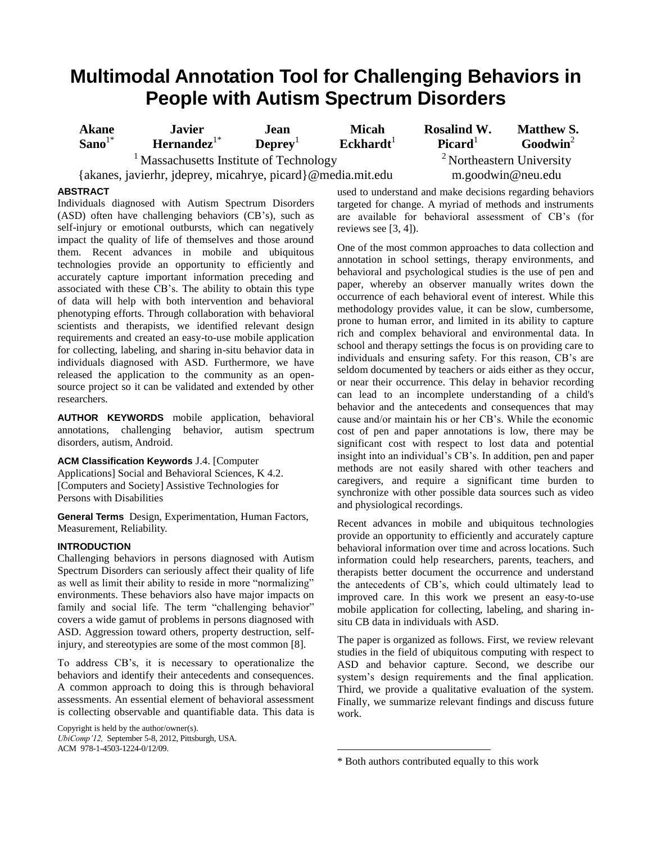# **Multimodal Annotation Tool for Challenging Behaviors in People with Autism Spectrum Disorders**

| <b>Akane</b><br>$Sano1*$                                    | <b>Javier</b><br>$\mathbf{Hern}$ ande $\mathbf{z}^{\text{1*}}$ | Jean.<br>$\mathbf{D}$ eprev <sup>1</sup> | <b>Micah</b><br>$\mathbf{Eckhardt}^1$ | <b>Rosalind W.</b><br>Picard <sup>1</sup> | <b>Matthew S.</b><br>Goodwin <sup>2</sup> |
|-------------------------------------------------------------|----------------------------------------------------------------|------------------------------------------|---------------------------------------|-------------------------------------------|-------------------------------------------|
| <sup>1</sup> Massachusetts Institute of Technology          |                                                                |                                          |                                       | <sup>2</sup> Northeastern University      |                                           |
| {akanes, javierhr, jdeprey, micahrye, picard}@media.mit.edu |                                                                |                                          |                                       | $m.$ goodwin@neu.edu                      |                                           |
| 670 A 67                                                    |                                                                |                                          |                                       |                                           |                                           |

## **ABSTRACT**

Individuals diagnosed with Autism Spectrum Disorders (ASD) often have challenging behaviors (CB's), such as self-injury or emotional outbursts, which can negatively impact the quality of life of themselves and those around them. Recent advances in mobile and ubiquitous technologies provide an opportunity to efficiently and accurately capture important information preceding and associated with these CB's. The ability to obtain this type of data will help with both intervention and behavioral phenotyping efforts. Through collaboration with behavioral scientists and therapists, we identified relevant design requirements and created an easy-to-use mobile application for collecting, labeling, and sharing in-situ behavior data in individuals diagnosed with ASD. Furthermore, we have released the application to the community as an opensource project so it can be validated and extended by other researchers.

**AUTHOR KEYWORDS** mobile application, behavioral annotations, challenging behavior, autism spectrum disorders, autism, Android.

**ACM Classification Keywords** J.4. [Computer Applications] Social and Behavioral Sciences, K 4.2. [Computers and Society] Assistive Technologies for Persons with Disabilities

**General Terms** Design, Experimentation, Human Factors, Measurement, Reliability.

### **INTRODUCTION**

Challenging behaviors in persons diagnosed with Autism Spectrum Disorders can seriously affect their quality of life as well as limit their ability to reside in more "normalizing" environments. These behaviors also have major impacts on family and social life. The term "challenging behavior" covers a wide gamut of problems in persons diagnosed with ASD. Aggression toward others, property destruction, selfinjury, and stereotypies are some of the most common [8].

To address CB's, it is necessary to operationalize the behaviors and identify their antecedents and consequences. A common approach to doing this is through behavioral assessments. An essential element of behavioral assessment is collecting observable and quantifiable data. This data is

Copyright is held by the author/owner(s). *UbiComp'12,* September 5-8, 2012, Pittsburgh, USA. ACM 978-1-4503-1224-0/12/09.

used to understand and make decisions regarding behaviors targeted for change. A myriad of methods and instruments are available for behavioral assessment of CB's (for reviews see [3, 4]).

One of the most common approaches to data collection and annotation in school settings, therapy environments, and behavioral and psychological studies is the use of pen and paper, whereby an observer manually writes down the occurrence of each behavioral event of interest. While this methodology provides value, it can be slow, cumbersome, prone to human error, and limited in its ability to capture rich and complex behavioral and environmental data. In school and therapy settings the focus is on providing care to individuals and ensuring safety. For this reason, CB's are seldom documented by teachers or aids either as they occur, or near their occurrence. This delay in behavior recording can lead to an incomplete understanding of a child's behavior and the antecedents and consequences that may cause and/or maintain his or her CB's. While the economic cost of pen and paper annotations is low, there may be significant cost with respect to lost data and potential insight into an individual's CB's. In addition, pen and paper methods are not easily shared with other teachers and caregivers, and require a significant time burden to synchronize with other possible data sources such as video and physiological recordings.

Recent advances in mobile and ubiquitous technologies provide an opportunity to efficiently and accurately capture behavioral information over time and across locations. Such information could help researchers, parents, teachers, and therapists better document the occurrence and understand the antecedents of CB's, which could ultimately lead to improved care. In this work we present an easy-to-use mobile application for collecting, labeling, and sharing insitu CB data in individuals with ASD.

The paper is organized as follows. First, we review relevant studies in the field of ubiquitous computing with respect to ASD and behavior capture. Second, we describe our system's design requirements and the final application. Third, we provide a qualitative evaluation of the system. Finally, we summarize relevant findings and discuss future work.

 $\overline{a}$ 

<sup>\*</sup> Both authors contributed equally to this work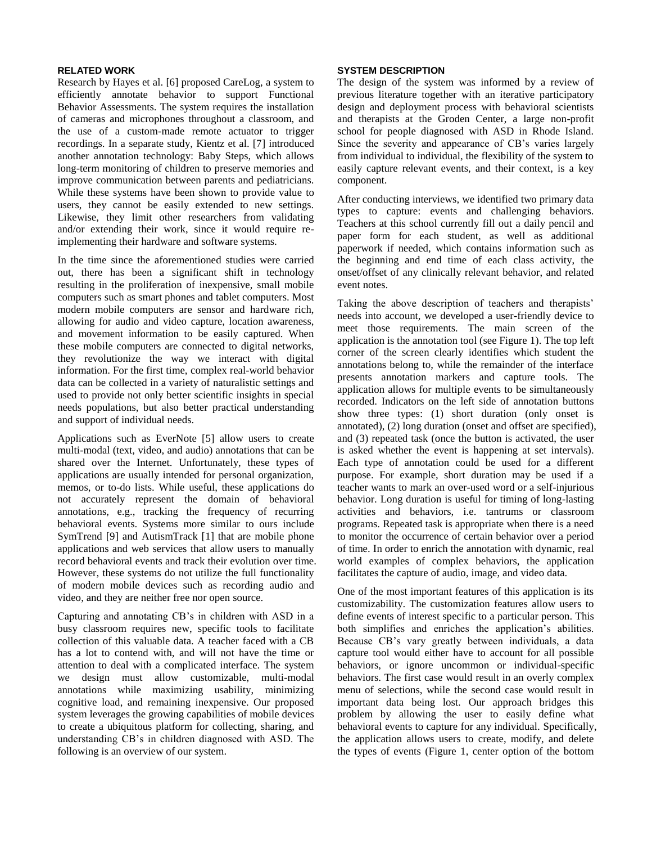#### **RELATED WORK**

Research by Hayes et al. [6] proposed CareLog, a system to efficiently annotate behavior to support Functional Behavior Assessments. The system requires the installation of cameras and microphones throughout a classroom, and the use of a custom-made remote actuator to trigger recordings. In a separate study, Kientz et al. [7] introduced another annotation technology: Baby Steps, which allows long-term monitoring of children to preserve memories and improve communication between parents and pediatricians. While these systems have been shown to provide value to users, they cannot be easily extended to new settings. Likewise, they limit other researchers from validating and/or extending their work, since it would require reimplementing their hardware and software systems.

In the time since the aforementioned studies were carried out, there has been a significant shift in technology resulting in the proliferation of inexpensive, small mobile computers such as smart phones and tablet computers. Most modern mobile computers are sensor and hardware rich, allowing for audio and video capture, location awareness, and movement information to be easily captured. When these mobile computers are connected to digital networks, they revolutionize the way we interact with digital information. For the first time, complex real-world behavior data can be collected in a variety of naturalistic settings and used to provide not only better scientific insights in special needs populations, but also better practical understanding and support of individual needs.

Applications such as EverNote [5] allow users to create multi-modal (text, video, and audio) annotations that can be shared over the Internet. Unfortunately, these types of applications are usually intended for personal organization, memos, or to-do lists. While useful, these applications do not accurately represent the domain of behavioral annotations, e.g., tracking the frequency of recurring behavioral events. Systems more similar to ours include SymTrend [9] and AutismTrack [1] that are mobile phone applications and web services that allow users to manually record behavioral events and track their evolution over time. However, these systems do not utilize the full functionality of modern mobile devices such as recording audio and video, and they are neither free nor open source.

Capturing and annotating CB's in children with ASD in a busy classroom requires new, specific tools to facilitate collection of this valuable data. A teacher faced with a CB has a lot to contend with, and will not have the time or attention to deal with a complicated interface. The system we design must allow customizable, multi-modal annotations while maximizing usability, minimizing cognitive load, and remaining inexpensive. Our proposed system leverages the growing capabilities of mobile devices to create a ubiquitous platform for collecting, sharing, and understanding CB's in children diagnosed with ASD. The following is an overview of our system.

#### **SYSTEM DESCRIPTION**

The design of the system was informed by a review of previous literature together with an iterative participatory design and deployment process with behavioral scientists and therapists at the Groden Center, a large non-profit school for people diagnosed with ASD in Rhode Island. Since the severity and appearance of CB's varies largely from individual to individual, the flexibility of the system to easily capture relevant events, and their context, is a key component.

After conducting interviews, we identified two primary data types to capture: events and challenging behaviors. Teachers at this school currently fill out a daily pencil and paper form for each student, as well as additional paperwork if needed, which contains information such as the beginning and end time of each class activity, the onset/offset of any clinically relevant behavior, and related event notes.

Taking the above description of teachers and therapists' needs into account, we developed a user-friendly device to meet those requirements. The main screen of the application is the annotation tool (see Figure 1). The top left corner of the screen clearly identifies which student the annotations belong to, while the remainder of the interface presents annotation markers and capture tools. The application allows for multiple events to be simultaneously recorded. Indicators on the left side of annotation buttons show three types: (1) short duration (only onset is annotated), (2) long duration (onset and offset are specified), and (3) repeated task (once the button is activated, the user is asked whether the event is happening at set intervals). Each type of annotation could be used for a different purpose. For example, short duration may be used if a teacher wants to mark an over-used word or a self-injurious behavior. Long duration is useful for timing of long-lasting activities and behaviors, i.e. tantrums or classroom programs. Repeated task is appropriate when there is a need to monitor the occurrence of certain behavior over a period of time. In order to enrich the annotation with dynamic, real world examples of complex behaviors, the application facilitates the capture of audio, image, and video data.

One of the most important features of this application is its customizability. The customization features allow users to define events of interest specific to a particular person. This both simplifies and enriches the application's abilities. Because CB's vary greatly between individuals, a data capture tool would either have to account for all possible behaviors, or ignore uncommon or individual-specific behaviors. The first case would result in an overly complex menu of selections, while the second case would result in important data being lost. Our approach bridges this problem by allowing the user to easily define what behavioral events to capture for any individual. Specifically, the application allows users to create, modify, and delete the types of events (Figure 1, center option of the bottom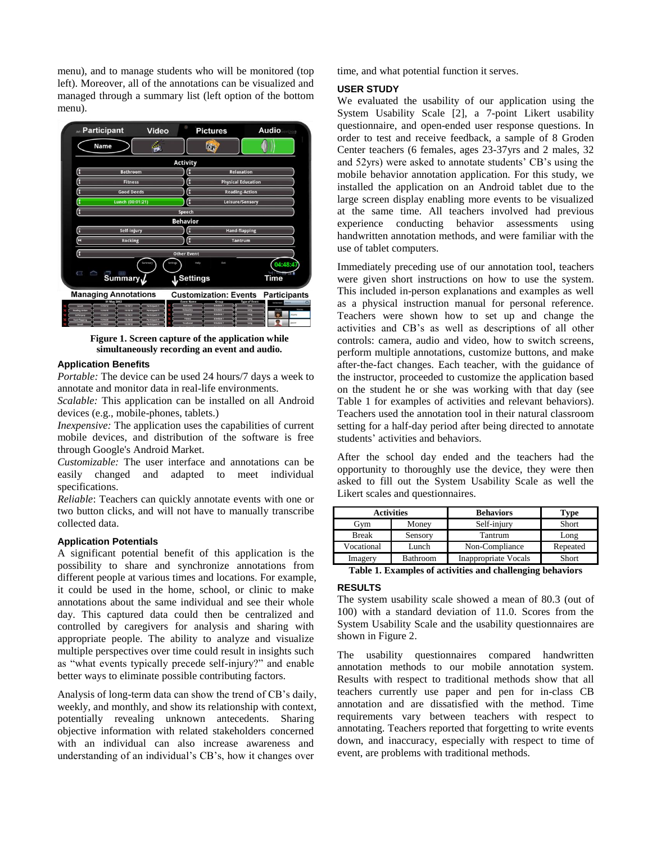menu), and to manage students who will be monitored (top left). Moreover, all of the annotations can be visualized and managed through a summary list (left option of the bottom menu).



**Figure 1. Screen capture of the application while simultaneously recording an event and audio.** 

#### **Application Benefits**

*Portable:* The device can be used 24 hours/7 days a week to annotate and monitor data in real-life environments.

*Scalable:* This application can be installed on all Android devices (e.g., mobile-phones, tablets.)

*Inexpensive:* The application uses the capabilities of current mobile devices, and distribution of the software is free through Google's Android Market.

*Customizable:* The user interface and annotations can be easily changed and adapted to meet individual specifications.

*Reliable*: Teachers can quickly annotate events with one or two button clicks, and will not have to manually transcribe collected data.

## **Application Potentials**

A significant potential benefit of this application is the possibility to share and synchronize annotations from different people at various times and locations. For example, it could be used in the home, school, or clinic to make annotations about the same individual and see their whole day. This captured data could then be centralized and controlled by caregivers for analysis and sharing with appropriate people. The ability to analyze and visualize multiple perspectives over time could result in insights such as "what events typically precede self-injury?" and enable better ways to eliminate possible contributing factors.

Analysis of long-term data can show the trend of CB's daily, weekly, and monthly, and show its relationship with context, potentially revealing unknown antecedents. Sharing objective information with related stakeholders concerned with an individual can also increase awareness and understanding of an individual's CB's, how it changes over

time, and what potential function it serves.

#### **USER STUDY**

We evaluated the usability of our application using the System Usability Scale [2], a 7-point Likert usability questionnaire, and open-ended user response questions. In order to test and receive feedback, a sample of 8 Groden Center teachers (6 females, ages 23-37yrs and 2 males, 32 and 52yrs) were asked to annotate students' CB's using the mobile behavior annotation application. For this study, we installed the application on an Android tablet due to the large screen display enabling more events to be visualized at the same time. All teachers involved had previous experience conducting behavior assessments using handwritten annotation methods, and were familiar with the use of tablet computers.

Immediately preceding use of our annotation tool, teachers were given short instructions on how to use the system. This included in-person explanations and examples as well as a physical instruction manual for personal reference. Teachers were shown how to set up and change the activities and CB's as well as descriptions of all other controls: camera, audio and video, how to switch screens, perform multiple annotations, customize buttons, and make after-the-fact changes. Each teacher, with the guidance of the instructor, proceeded to customize the application based on the student he or she was working with that day (see Table 1 for examples of activities and relevant behaviors). Teachers used the annotation tool in their natural classroom setting for a half-day period after being directed to annotate students' activities and behaviors.

After the school day ended and the teachers had the opportunity to thoroughly use the device, they were then asked to fill out the System Usability Scale as well the Likert scales and questionnaires.

| <b>Activities</b> |          | <b>Behaviors</b>            | Type     |  |  |
|-------------------|----------|-----------------------------|----------|--|--|
| Gvm               | Money    | Self-injury                 | Short    |  |  |
| <b>Break</b>      | Sensory  | Tantrum                     | Long     |  |  |
| Vocational        | Lunch    | Non-Compliance              | Repeated |  |  |
| Imagery           | Bathroom | <b>Inappropriate Vocals</b> | Short    |  |  |
| m. l. l. 1        |          |                             |          |  |  |

**Table 1. Examples of activities and challenging behaviors**

#### **RESULTS**

The system usability scale showed a mean of 80.3 (out of 100) with a standard deviation of 11.0. Scores from the System Usability Scale and the usability questionnaires are shown in Figure 2.

The usability questionnaires compared handwritten annotation methods to our mobile annotation system. Results with respect to traditional methods show that all teachers currently use paper and pen for in-class CB annotation and are dissatisfied with the method. Time requirements vary between teachers with respect to annotating. Teachers reported that forgetting to write events down, and inaccuracy, especially with respect to time of event, are problems with traditional methods.